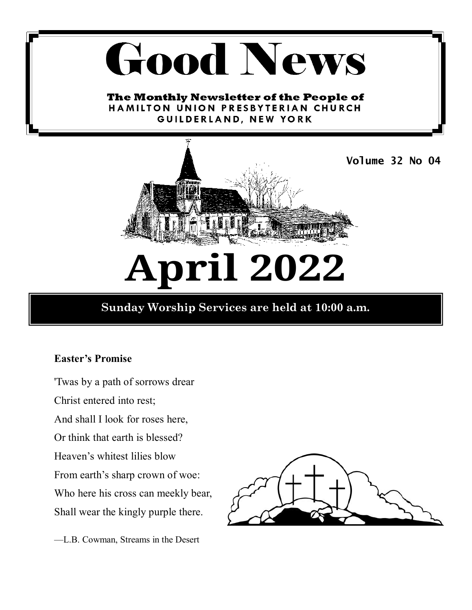# **Good News**

The Monthly Newsletter of the People of HAMILTON UNION PRESBYTERIAN CHURCH GUILDERLAND, NEW YORK



# **April 2022**

# **Sunday Worship Services are held at 10:00 a.m.**

# **Easter's Promise**

'Twas by a path of sorrows drear Christ entered into rest; And shall I look for roses here, Or think that earth is blessed? Heaven's whitest lilies blow From earth's sharp crown of woe: Who here his cross can meekly bear, Shall wear the kingly purple there.

—L.B. Cowman, Streams in the Desert

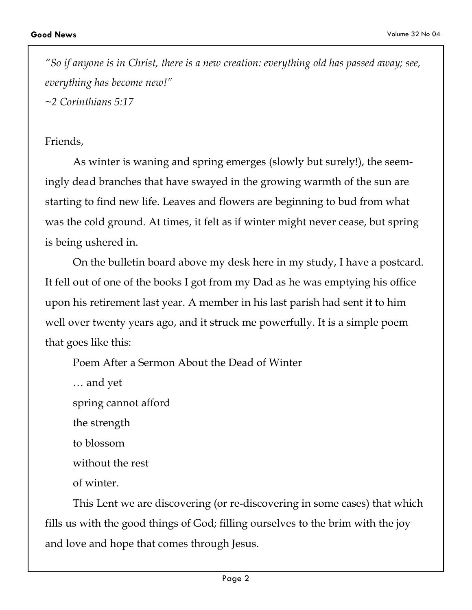*"So if anyone is in Christ, there is a new creation: everything old has passed away; see, everything has become new!" ~2 Corinthians 5:17* 

# Friends,

As winter is waning and spring emerges (slowly but surely!), the seemingly dead branches that have swayed in the growing warmth of the sun are starting to find new life. Leaves and flowers are beginning to bud from what was the cold ground. At times, it felt as if winter might never cease, but spring is being ushered in.

On the bulletin board above my desk here in my study, I have a postcard. It fell out of one of the books I got from my Dad as he was emptying his office upon his retirement last year. A member in his last parish had sent it to him well over twenty years ago, and it struck me powerfully. It is a simple poem that goes like this:

Poem After a Sermon About the Dead of Winter

… and yet spring cannot afford the strength to blossom without the rest of winter.

This Lent we are discovering (or re-discovering in some cases) that which fills us with the good things of God; filling ourselves to the brim with the joy and love and hope that comes through Jesus.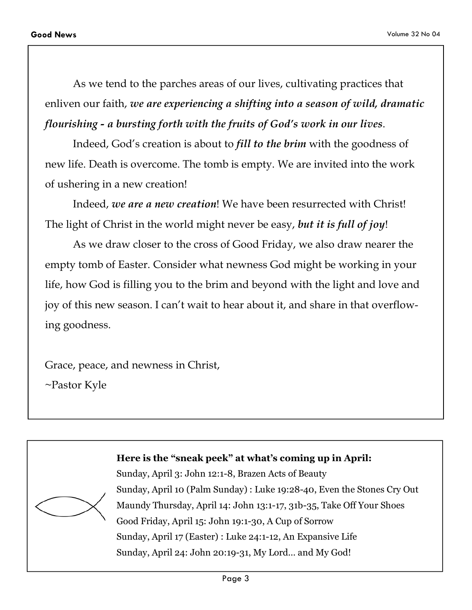As we tend to the parches areas of our lives, cultivating practices that enliven our faith, *we are experiencing a shifting into a season of wild, dramatic flourishing - a bursting forth with the fruits of God's work in our lives*.

Indeed, God's creation is about to *fill to the brim* with the goodness of new life. Death is overcome. The tomb is empty. We are invited into the work of ushering in a new creation!

Indeed, *we are a new creation*! We have been resurrected with Christ! The light of Christ in the world might never be easy, *but it is full of joy*!

As we draw closer to the cross of Good Friday, we also draw nearer the empty tomb of Easter. Consider what newness God might be working in your life, how God is filling you to the brim and beyond with the light and love and joy of this new season. I can't wait to hear about it, and share in that overflowing goodness.

Grace, peace, and newness in Christ,

~Pastor Kyle

# **Here is the "sneak peek" at what's coming up in April:**



Sunday, April 3: John 12:1-8, Brazen Acts of Beauty Sunday, April 10 (Palm Sunday) : Luke 19:28-40, Even the Stones Cry Out Maundy Thursday, April 14: John 13:1-17, 31b-35, Take Off Your Shoes Good Friday, April 15: John 19:1-30, A Cup of Sorrow Sunday, April 17 (Easter) : Luke 24:1-12, An Expansive Life Sunday, April 24: John 20:19-31, My Lord… and My God!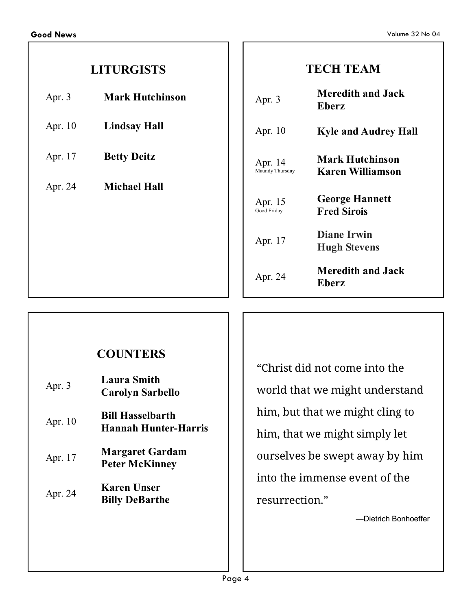# **LITURGISTS**

| Apr. $3$ | <b>Mark Hutchinson</b> |
|----------|------------------------|
|          |                        |

- Apr. 10 **Lindsay Hall**
- Apr. 17 **Betty Deitz**
- Apr. 24 **Michael Hall**

# **TECH TEAM**

| Apr. $3$                   | <b>Meredith and Jack</b><br><b>Eberz</b>          |
|----------------------------|---------------------------------------------------|
| Apr. 10                    | <b>Kyle and Audrey Hall</b>                       |
| Apr. 14<br>Maundy Thursday | <b>Mark Hutchinson</b><br><b>Karen Williamson</b> |
| Apr. 15<br>Good Friday     | <b>George Hannett</b><br><b>Fred Sirois</b>       |
| Apr. 17                    | Diane Irwin<br><b>Hugh Stevens</b>                |
| Apr. 24                    | <b>Meredith and Jack</b><br><b>Eberz</b>          |

# **COUNTERS**

| Apr. $3$ | <b>Laura Smith</b><br><b>Carolyn Sarbello</b>          |
|----------|--------------------------------------------------------|
| Apr. 10  | <b>Bill Hasselbarth</b><br><b>Hannah Hunter-Harris</b> |
| Apr. 17  | <b>Margaret Gardam</b><br><b>Peter McKinney</b>        |
| Apr. 24  | <b>Karen Unser</b><br><b>Billy DeBarthe</b>            |

"Christ did not come into the world that we might understand him, but that we might cling to him, that we might simply let ourselves be swept away by him into the immense event of the resurrection."

—Dietrich Bonhoeffer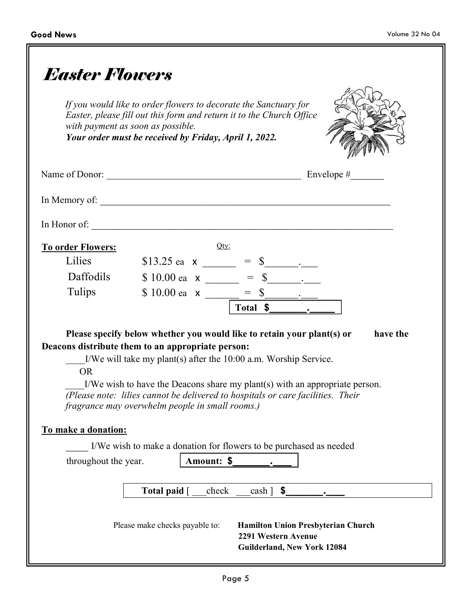|                                  | If you would like to order flowers to decorate the Sanctuary for<br>Easter, please fill out this form and return it to the Church Office<br>with payment as soon as possible.<br>Your order must be received by Friday, April 1, 2022.                                                                                                                                                                                              |
|----------------------------------|-------------------------------------------------------------------------------------------------------------------------------------------------------------------------------------------------------------------------------------------------------------------------------------------------------------------------------------------------------------------------------------------------------------------------------------|
|                                  |                                                                                                                                                                                                                                                                                                                                                                                                                                     |
|                                  |                                                                                                                                                                                                                                                                                                                                                                                                                                     |
|                                  |                                                                                                                                                                                                                                                                                                                                                                                                                                     |
| <b>To order Flowers:</b>         | $Qty$ :                                                                                                                                                                                                                                                                                                                                                                                                                             |
| Lilies                           | \$13.25 ea $x$ = \$                                                                                                                                                                                                                                                                                                                                                                                                                 |
|                                  |                                                                                                                                                                                                                                                                                                                                                                                                                                     |
| Daffodils                        |                                                                                                                                                                                                                                                                                                                                                                                                                                     |
| <b>Tulips</b>                    | \$ 10.00 ea $x = 5$<br>\$ 10.00 ea $x = 5$<br>Total \$                                                                                                                                                                                                                                                                                                                                                                              |
| <b>OR</b><br>To make a donation: | Please specify below whether you would like to retain your plant(s) or<br>have the<br>Deacons distribute them to an appropriate person:<br>$I/W$ e will take my plant(s) after the 10:00 a.m. Worship Service.<br>I/We wish to have the Deacons share my plant(s) with an appropriate person.<br>(Please note: lilies cannot be delivered to hospitals or care facilities. Their<br>fragrance may overwhelm people in small rooms.) |
|                                  | I/We wish to make a donation for flowers to be purchased as needed                                                                                                                                                                                                                                                                                                                                                                  |
| throughout the year.             | Amount: \$                                                                                                                                                                                                                                                                                                                                                                                                                          |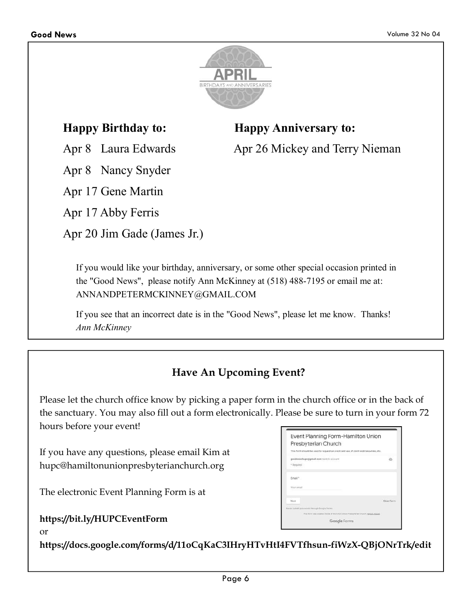

Apr 8 Nancy Snyder

Apr 17 Gene Martin

Apr 17 Abby Ferris

Apr 20 Jim Gade (James Jr.)

# **Happy Birthday to: Happy Anniversary to:**

Apr 8 Laura Edwards **Apr 26 Mickey and Terry Nieman** 

If you would like your birthday, anniversary, or some other special occasion printed in the "Good News", please notify Ann McKinney at (518) 488-7195 or email me at: ANNANDPETERMCKINNEY@GMAIL.COM

If you see that an incorrect date is in the "Good News", please let me know. Thanks! *Ann McKinney*

# **Have An Upcoming Event?**

Please let the church office know by picking a paper form in the church office or in the back of the sanctuary. You may also fill out a form electronically. Please be sure to turn in your form 72 hours before your event!

If you have any questions, please email Kim at hupc@hamiltonunionpresbyterianchurch.org

The electronic Event Planning Form is at

**https://bit.ly/HUPCEventForm** 

| Event Planning Form-Hamilton Union<br>Presbyterian Church<br>This form should be used to request an Event and use of room and resources, etc. |                                                                               |
|-----------------------------------------------------------------------------------------------------------------------------------------------|-------------------------------------------------------------------------------|
| From Water and Barrier<br>goodnewshupc@gmail.com Switch account<br>장난 나가에 마음 내가 사진 사람이 있다.<br>+ Required                                      | o.                                                                            |
| Email *<br>Voir amail                                                                                                                         |                                                                               |
| Next<br>force pubmit posswords through Geogle Forms.                                                                                          | Clear form                                                                    |
|                                                                                                                                               | This form you ansated inside of Rendban Union Presidence Church, Report Atoms |
|                                                                                                                                               | Google Forms                                                                  |

or

**https://docs.google.com/forms/d/11oCqKaC3IHryHTvHtI4FVTfhsun-fiWzX-QBjONrTrk/edit**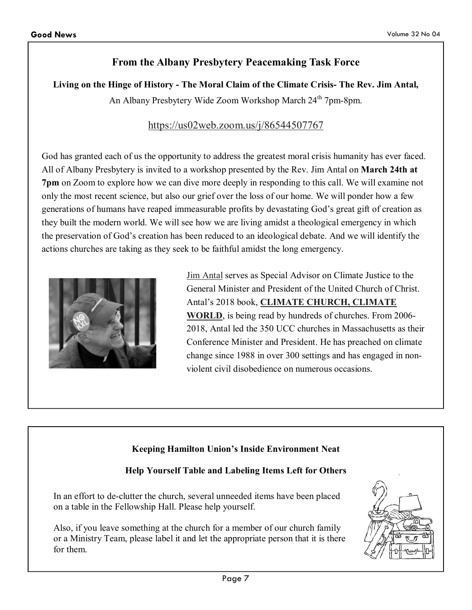# **From the Albany Presbytery Peacemaking Task Force**

# **Living on the Hinge of History - The Moral Claim of the Climate Crisis- The Rev. Jim Antal,**

An Albany Presbytery Wide Zoom Workshop March 24<sup>th</sup> 7pm-8pm.

# https://us02web.zoom.us/j/86544507767

God has granted each of us the opportunity to address the greatest moral crisis humanity has ever faced. All of Albany Presbytery is invited to a workshop presented by the Rev. Jim Antal on **March 24th at 7pm** on Zoom to explore how we can dive more deeply in responding to this call. We will examine not only the most recent science, but also our grief over the loss of our home. We will ponder how a few generations of humans have reaped immeasurable profits by devastating God's great gift of creation as they built the modern world. We will see how we are living amidst a theological emergency in which the preservation of God's creation has been reduced to an ideological debate. And we will identify the actions churches are taking as they seek to be faithful amidst the long emergency.



Jim Antal serves as Special Advisor on Climate Justice to the General Minister and President of the United Church of Christ. Antal's 2018 book, **CLIMATE CHURCH, CLIMATE WORLD**, is being read by hundreds of churches. From 2006- 2018, Antal led the 350 UCC churches in Massachusetts as their Conference Minister and President. He has preached on climate change since 1988 in over 300 settings and has engaged in nonviolent civil disobedience on numerous occasions.

# **Keeping Hamilton Union's Inside Environment Neat**

# **Help Yourself Table and Labeling Items Left for Others**

In an effort to de-clutter the church, several unneeded items have been placed on a table in the Fellowship Hall. Please help yourself.

Also, if you leave something at the church for a member of our church family or a Ministry Team, please label it and let the appropriate person that it is there for them.

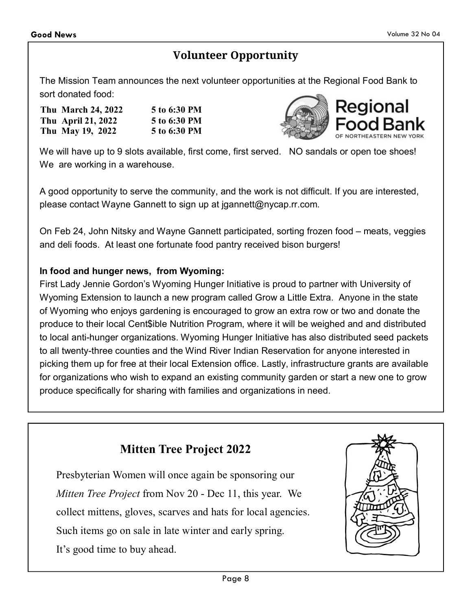# **Volunteer Opportunity**

The Mission Team announces the next volunteer opportunities at the Regional Food Bank to sort donated food:

| Thu March 24, 2022 | 5 to 6:30 PM |
|--------------------|--------------|
| Thu April 21, 2022 | 5 to 6:30 PM |
| Thu May 19, 2022   | 5 to 6:30 PM |



We will have up to 9 slots available, first come, first served. NO sandals or open toe shoes! We are working in a warehouse.

A good opportunity to serve the community, and the work is not difficult. If you are interested, please contact Wayne Gannett to sign up at jgannett@nycap.rr.com.

On Feb 24, John Nitsky and Wayne Gannett participated, sorting frozen food – meats, veggies and deli foods. At least one fortunate food pantry received bison burgers!

# **In food and hunger news, from Wyoming:**

First Lady Jennie Gordon's Wyoming Hunger Initiative is proud to partner with University of Wyoming Extension to launch a new program called Grow a Little Extra. Anyone in the state of Wyoming who enjoys gardening is encouraged to grow an extra row or two and donate the produce to their local Cent\$ible Nutrition Program, where it will be weighed and and distributed to local anti-hunger organizations. Wyoming Hunger Initiative has also distributed seed packets to all twenty-three counties and the Wind River Indian Reservation for anyone interested in picking them up for free at their local Extension office. Lastly, infrastructure grants are available for organizations who wish to expand an existing community garden or start a new one to grow produce specifically for sharing with families and organizations in need.

# **Mitten Tree Project 2022**

Presbyterian Women will once again be sponsoring our *Mitten Tree Project* from Nov 20 - Dec 11, this year. We collect mittens, gloves, scarves and hats for local agencies. Such items go on sale in late winter and early spring. It's good time to buy ahead.

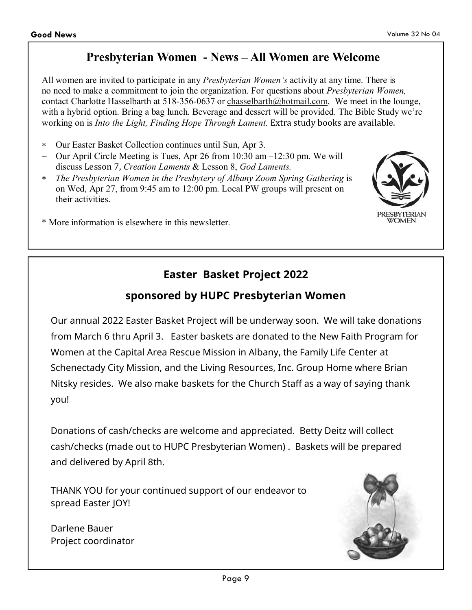# **Presbyterian Women - News – All Women are Welcome**

All women are invited to participate in any *Presbyterian Women's* activity at any time. There is no need to make a commitment to join the organization. For questions about *Presbyterian Women,* contact Charlotte Hasselbarth at 518-356-0637 or chasselbarth@hotmail.com. We meet in the lounge, with a hybrid option. Bring a bag lunch. Beverage and dessert will be provided. The Bible Study we're working on is *Into the Light, Finding Hope Through Lament.* Extra study books are available.

- ∗ Our Easter Basket Collection continues until Sun, Apr 3.
- − Our April Circle Meeting is Tues, Apr 26 from 10:30 am –12:30 pm. We will discuss Lesson 7, *Creation Laments* & Lesson 8, *God Laments.*
- ∗ *The Presbyterian Women in the Presbytery of Albany Zoom Spring Gathering* is on Wed, Apr 27, from 9:45 am to 12:00 pm. Local PW groups will present on their activities.



\* More information is elsewhere in this newsletter.

# **Easter Basket Project 2022**

# **sponsored by HUPC Presbyterian Women**

Our annual 2022 Easter Basket Project will be underway soon. We will take donations from March 6 thru April 3. Easter baskets are donated to the New Faith Program for Women at the Capital Area Rescue Mission in Albany, the Family Life Center at Schenectady City Mission, and the Living Resources, Inc. Group Home where Brian Nitsky resides. We also make baskets for the Church Staff as a way of saying thank you!

Donations of cash/checks are welcome and appreciated. Betty Deitz will collect cash/checks (made out to HUPC Presbyterian Women) . Baskets will be prepared and delivered by April 8th.

THANK YOU for your continued support of our endeavor to spread Easter JOY!

Darlene Bauer Project coordinator

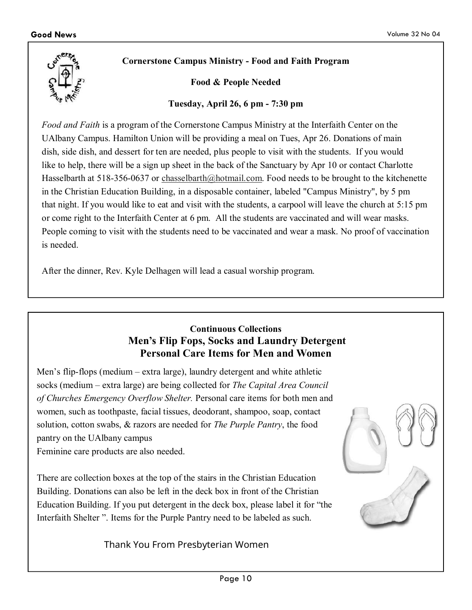

# **Cornerstone Campus Ministry - Food and Faith Program**

**Food & People Needed** 

### **Tuesday, April 26, 6 pm - 7:30 pm**

*Food and Faith* is a program of the Cornerstone Campus Ministry at the Interfaith Center on the UAlbany Campus. Hamilton Union will be providing a meal on Tues, Apr 26. Donations of main dish, side dish, and dessert for ten are needed, plus people to visit with the students. If you would like to help, there will be a sign up sheet in the back of the Sanctuary by Apr 10 or contact Charlotte Hasselbarth at 518-356-0637 or chasselbarth@hotmail.com. Food needs to be brought to the kitchenette in the Christian Education Building, in a disposable container, labeled "Campus Ministry", by 5 pm that night. If you would like to eat and visit with the students, a carpool will leave the church at 5:15 pm or come right to the Interfaith Center at 6 pm. All the students are vaccinated and will wear masks. People coming to visit with the students need to be vaccinated and wear a mask. No proof of vaccination is needed.

After the dinner, Rev. Kyle Delhagen will lead a casual worship program.

# **Continuous Collections Men's Flip Fops, Socks and Laundry Detergent Personal Care Items for Men and Women**

Men's flip-flops (medium – extra large), laundry detergent and white athletic socks (medium – extra large) are being collected for *The Capital Area Council of Churches Emergency Overflow Shelter.* Personal care items for both men and women, such as toothpaste, facial tissues, deodorant, shampoo, soap, contact solution, cotton swabs, & razors are needed for *The Purple Pantry*, the food pantry on the UAlbany campus Feminine care products are also needed.

There are collection boxes at the top of the stairs in the Christian Education Building. Donations can also be left in the deck box in front of the Christian Education Building. If you put detergent in the deck box, please label it for "the Interfaith Shelter ". Items for the Purple Pantry need to be labeled as such.

Thank You From Presbyterian Women

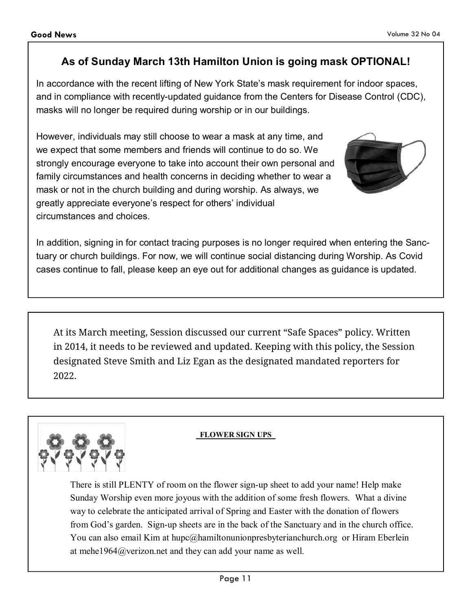# **As of Sunday March 13th Hamilton Union is going mask OPTIONAL!**

In accordance with the recent lifting of New York State's mask requirement for indoor spaces, and in compliance with recently-updated guidance from the Centers for Disease Control (CDC), masks will no longer be required during worship or in our buildings.

However, individuals may still choose to wear a mask at any time, and we expect that some members and friends will continue to do so. We strongly encourage everyone to take into account their own personal and family circumstances and health concerns in deciding whether to wear a mask or not in the church building and during worship. As always, we greatly appreciate everyone's respect for others' individual circumstances and choices.



In addition, signing in for contact tracing purposes is no longer required when entering the Sanctuary or church buildings. For now, we will continue social distancing during Worship. As Covid cases continue to fall, please keep an eye out for additional changes as guidance is updated.

At its March meeting, Session discussed our current "Safe Spaces" policy. Written in 2014, it needs to be reviewed and updated. Keeping with this policy, the Session designated Steve Smith and Liz Egan as the designated mandated reporters for 2022.



## **\_FLOWER SIGN UPS\_**

There is still PLENTY of room on the flower sign-up sheet to add your name! Help make Sunday Worship even more joyous with the addition of some fresh flowers. What a divine way to celebrate the anticipated arrival of Spring and Easter with the donation of flowers from God's garden. Sign-up sheets are in the back of the Sanctuary and in the church office. You can also email Kim at hupc@hamiltonunionpresbyterianchurch.org or Hiram Eberlein at mehe1964@verizon.net and they can add your name as well.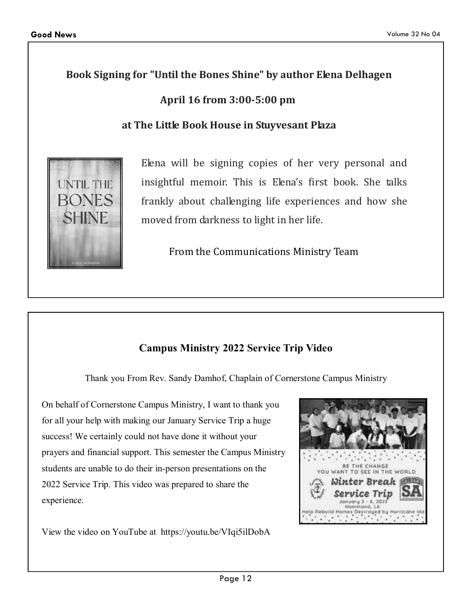# **Book Signing for "Until the Bones Shine" by author Elena Delhagen**

# **April 16 from 3:00-5:00 pm**

# **at The Little Book House in Stuyvesant Plaza**



Elena will be signing copies of her very personal and insightful memoir. This is Elena's first book. She talks frankly about challenging life experiences and how she moved from darkness to light in her life.

From the Communications Ministry Team

# **Campus Ministry 2022 Service Trip Video**

Thank you From Rev. Sandy Damhof, Chaplain of Cornerstone Campus Ministry

On behalf of Cornerstone Campus Ministry, I want to thank you for all your help with making our January Service Trip a huge success! We certainly could not have done it without your prayers and financial support. This semester the Campus Ministry students are unable to do their in-person presentations on the 2022 Service Trip. This video was prepared to share the experience.

View the video on YouTube at https://youtu.be/VIqi5ilDobA

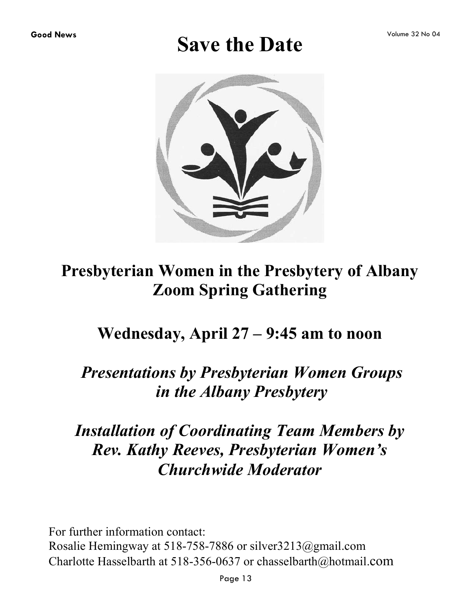# **Save the Date Good News Community Community Community Community Community Community Community Community Community Community Community Community Community Community Community Community Community Commu**



**Presbyterian Women in the Presbytery of Albany Zoom Spring Gathering** 

**Wednesday, April 27 – 9:45 am to noon** 

# *Presentations by Presbyterian Women Groups in the Albany Presbytery*

# *Installation of Coordinating Team Members by Rev. Kathy Reeves, Presbyterian Women's Churchwide Moderator*

For further information contact: Rosalie Hemingway at 518-758-7886 or silver3213@gmail.com Charlotte Hasselbarth at 518-356-0637 or chasselbarth@hotmail.com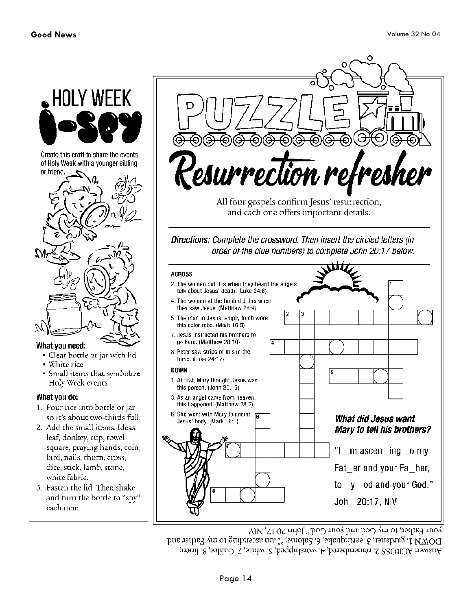



your Father, to my God and your God." John 2017, NIV

DOWN I. gardener, 3. earthquake, 6. Salone; "I am ascending to my Father and Answer: ACROSS 2. remembered, 4. worshipped, 5. white, 7. Galilee, 8. Innen;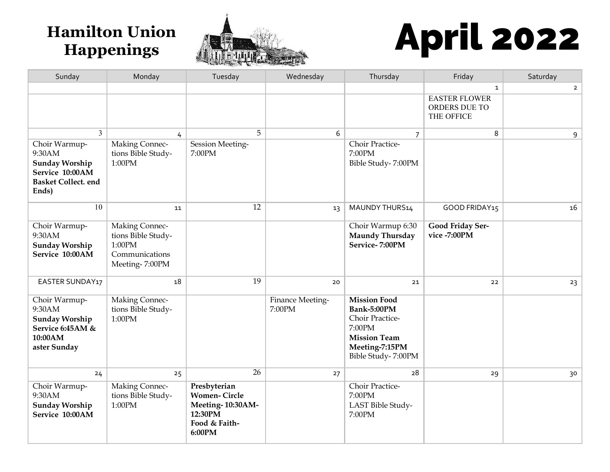

# **Hamilton Union April 2022**

| Sunday                                                                                                     | Monday                                                                                    | Tuesday                                                                                       | Wednesday                  | Thursday                                                                                                                       | Friday                                              | Saturday    |
|------------------------------------------------------------------------------------------------------------|-------------------------------------------------------------------------------------------|-----------------------------------------------------------------------------------------------|----------------------------|--------------------------------------------------------------------------------------------------------------------------------|-----------------------------------------------------|-------------|
|                                                                                                            |                                                                                           |                                                                                               |                            |                                                                                                                                | $\mathbf{1}$                                        | $2^{\circ}$ |
|                                                                                                            |                                                                                           |                                                                                               |                            |                                                                                                                                | <b>EASTER FLOWER</b><br>ORDERS DUE TO<br>THE OFFICE |             |
| $\overline{3}$                                                                                             | $\overline{4}$                                                                            | 5                                                                                             | 6                          | $\overline{7}$                                                                                                                 | 8                                                   | 9           |
| Choir Warmup-<br>9:30AM<br><b>Sunday Worship</b><br>Service 10:00AM<br><b>Basket Collect. end</b><br>Ends) | <b>Making Connec-</b><br>tions Bible Study-<br>1:00PM                                     | <b>Session Meeting-</b><br>7:00PM                                                             |                            | Choir Practice-<br>7:00PM<br>Bible Study-7:00PM                                                                                |                                                     |             |
| 10                                                                                                         | 11                                                                                        | 12                                                                                            | 13                         | MAUNDY THURS14                                                                                                                 | GOOD FRIDAY15                                       | 16          |
| Choir Warmup-<br>9:30AM<br><b>Sunday Worship</b><br>Service 10:00AM                                        | <b>Making Connec-</b><br>tions Bible Study-<br>1:00PM<br>Communications<br>Meeting-7:00PM |                                                                                               |                            | Choir Warmup 6:30<br><b>Maundy Thursday</b><br>Service-7:00PM                                                                  | Good Friday Ser-<br>vice-7:00PM                     |             |
| EASTER SUNDAY17                                                                                            | 18                                                                                        | 19                                                                                            | 20                         | 21                                                                                                                             | 22                                                  | 23          |
| Choir Warmup-<br>9:30AM<br><b>Sunday Worship</b><br>Service 6:45AM &<br>10:00AM<br>aster Sunday            | <b>Making Connec-</b><br>tions Bible Study-<br>1:00PM                                     |                                                                                               | Finance Meeting-<br>7:00PM | <b>Mission Food</b><br>Bank-5:00PM<br>Choir Practice-<br>7:00PM<br><b>Mission Team</b><br>Meeting-7:15PM<br>Bible Study-7:00PM |                                                     |             |
| 24                                                                                                         | 25                                                                                        | 26                                                                                            | 27                         | 28                                                                                                                             | 29                                                  | 30          |
| Choir Warmup-<br>9:30AM<br><b>Sunday Worship</b><br>Service 10:00AM                                        | Making Connec-<br>tions Bible Study-<br>1:00PM                                            | Presbyterian<br><b>Women-Circle</b><br>Meeting-10:30AM-<br>12:30PM<br>Food & Faith-<br>6:00PM |                            | Choir Practice-<br>7:00PM<br>LAST Bible Study-<br>7:00PM                                                                       |                                                     |             |